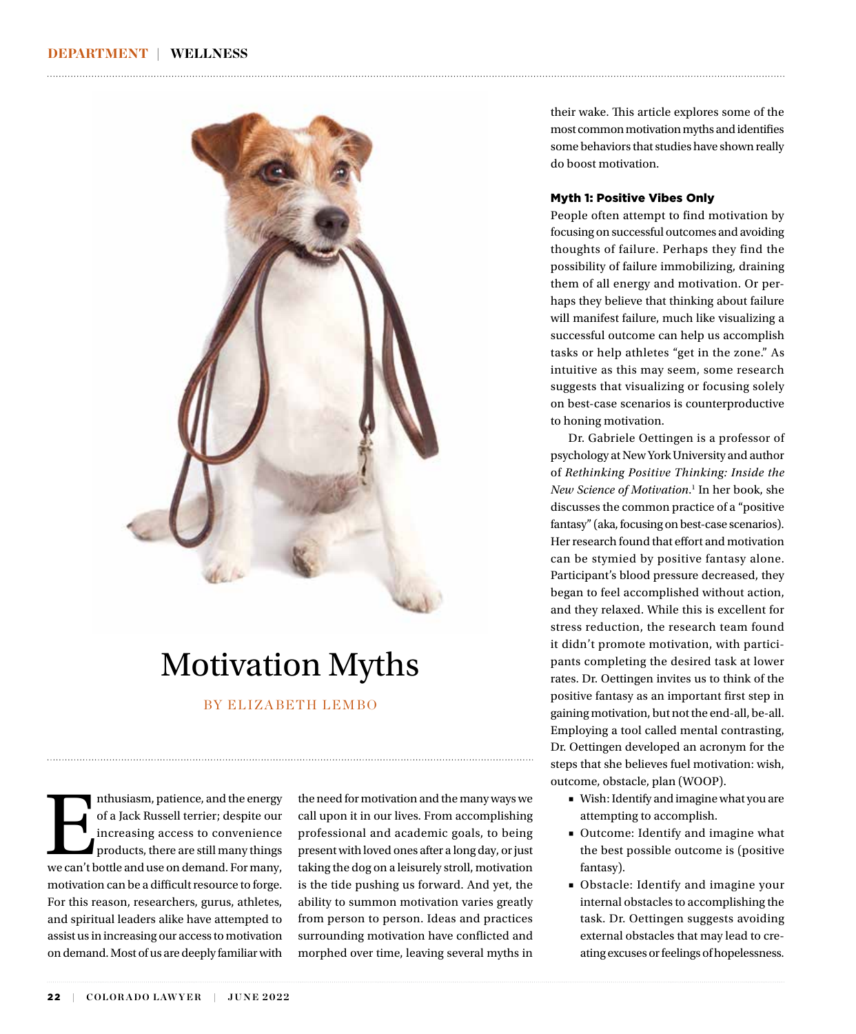

# Motivation Myths

### BY ELIZABETH LEMBO

Inthusiasm, patience, and the energy of a Jack Russell terrier; despite our increasing access to convenience products, there are still many things we can't bottle and use on demand. For many, of a Jack Russell terrier; despite our increasing access to convenience products, there are still many things motivation can be a difficult resource to forge. For this reason, researchers, gurus, athletes, and spiritual leaders alike have attempted to assist us in increasing our access to motivation on demand. Most of us are deeply familiar with

the need for motivation and the many ways we call upon it in our lives. From accomplishing professional and academic goals, to being present with loved ones after a long day, or just taking the dog on a leisurely stroll, motivation is the tide pushing us forward. And yet, the ability to summon motivation varies greatly from person to person. Ideas and practices surrounding motivation have conflicted and morphed over time, leaving several myths in their wake. This article explores some of the most common motivation myths and identifies some behaviors that studies have shown really do boost motivation.

### Myth 1: Positive Vibes Only

People often attempt to find motivation by focusing on successful outcomes and avoiding thoughts of failure. Perhaps they find the possibility of failure immobilizing, draining them of all energy and motivation. Or perhaps they believe that thinking about failure will manifest failure, much like visualizing a successful outcome can help us accomplish tasks or help athletes "get in the zone." As intuitive as this may seem, some research suggests that visualizing or focusing solely on best-case scenarios is counterproductive to honing motivation.

Dr. Gabriele Oettingen is a professor of psychology at New York University and author of *Rethinking Positive Thinking: Inside the New Science of Motivation*. 1 In her book, she discusses the common practice of a "positive fantasy" (aka, focusing on best-case scenarios). Her research found that effort and motivation can be stymied by positive fantasy alone. Participant's blood pressure decreased, they began to feel accomplished without action, and they relaxed. While this is excellent for stress reduction, the research team found it didn't promote motivation, with participants completing the desired task at lower rates. Dr. Oettingen invites us to think of the positive fantasy as an important first step in gaining motivation, but not the end-all, be-all. Employing a tool called mental contrasting, Dr. Oettingen developed an acronym for the steps that she believes fuel motivation: wish, outcome, obstacle, plan (WOOP).

- Wish: Identify and imagine what you are attempting to accomplish.
- Outcome: Identify and imagine what the best possible outcome is (positive fantasy).
- Obstacle: Identify and imagine your internal obstacles to accomplishing the task. Dr. Oettingen suggests avoiding external obstacles that may lead to creating excuses or feelings of hopelessness.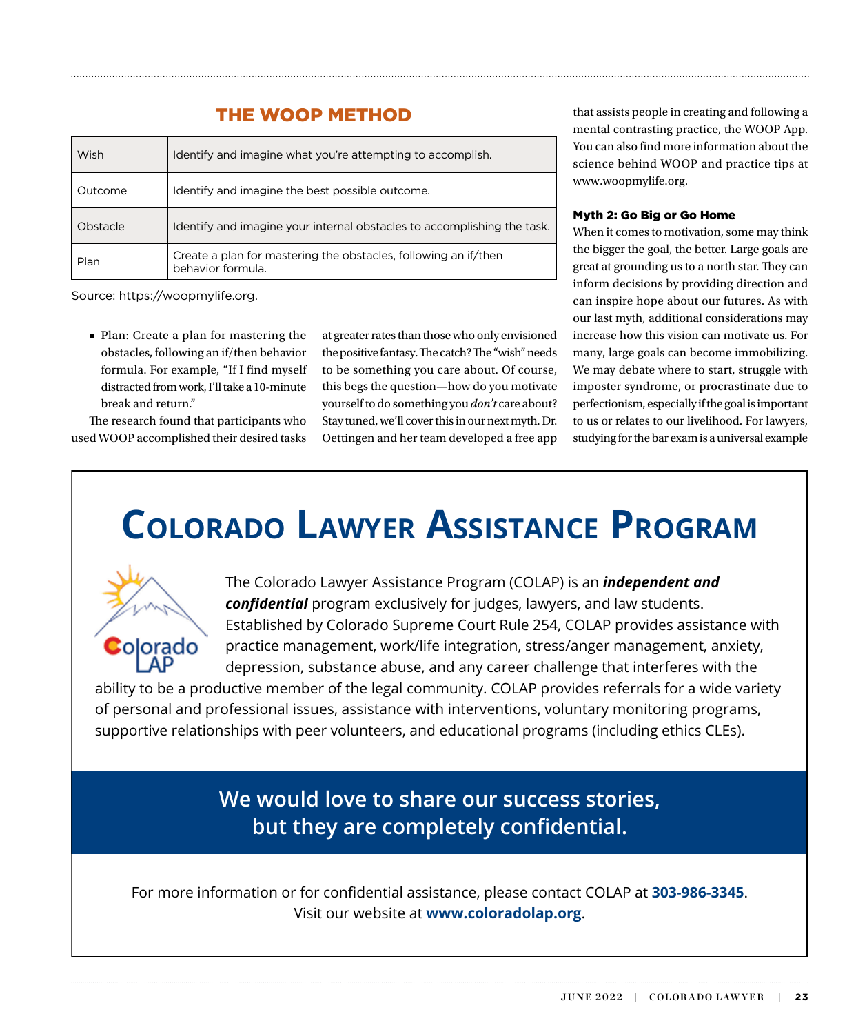### THE WOOP METHOD

|  | Wish     | Identify and imagine what you're attempting to accomplish.                           |
|--|----------|--------------------------------------------------------------------------------------|
|  | Outcome  | Identify and imagine the best possible outcome.                                      |
|  | Obstacle | Identify and imagine your internal obstacles to accomplishing the task.              |
|  | Plan     | Create a plan for mastering the obstacles, following an if/then<br>behavior formula. |

Source: https://woopmylife.org.

■ Plan: Create a plan for mastering the obstacles, following an if/then behavior formula. For example, "If I find myself distracted from work, I'll take a 10-minute break and return."

The research found that participants who used WOOP accomplished their desired tasks at greater rates than those who only envisioned the positive fantasy. The catch? The "wish" needs to be something you care about. Of course, this begs the question—how do you motivate yourself to do something you *don't* care about? Stay tuned, we'll cover this in our next myth. Dr. Oettingen and her team developed a free app

that assists people in creating and following a mental contrasting practice, the WOOP App. You can also find more information about the science behind WOOP and practice tips at www.woopmylife.org.

### Myth 2: Go Big or Go Home

When it comes to motivation, some may think the bigger the goal, the better. Large goals are great at grounding us to a north star. They can inform decisions by providing direction and can inspire hope about our futures. As with our last myth, additional considerations may increase how this vision can motivate us. For many, large goals can become immobilizing. We may debate where to start, struggle with imposter syndrome, or procrastinate due to perfectionism, especially if the goal is important to us or relates to our livelihood. For lawyers, studying for the bar exam is a universal example

## **COLORADO LAWYER ASSISTANCE PROGRAM**



The Colorado Lawyer Assistance Program (COLAP) is an *independent and confidential* program exclusively for judges, lawyers, and law students. Established by Colorado Supreme Court Rule 254, COLAP provides assistance with practice management, work/life integration, stress/anger management, anxiety, depression, substance abuse, and any career challenge that interferes with the

ability to be a productive member of the legal community. COLAP provides referrals for a wide variety of personal and professional issues, assistance with interventions, voluntary monitoring programs, supportive relationships with peer volunteers, and educational programs (including ethics CLEs).

> **We would love to share our success stories, but they are completely confidential.**

For more information or for confidential assistance, please contact COLAP at **303-986-3345**. Visit our website at **www.coloradolap.org**.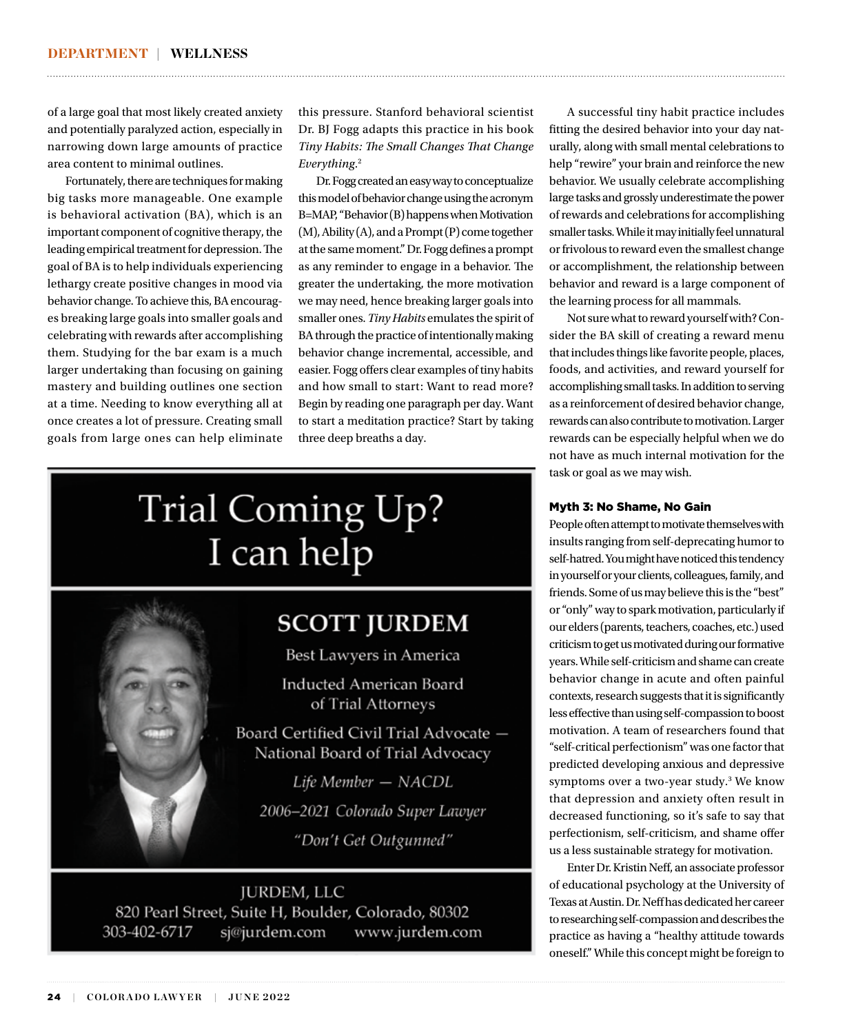of a large goal that most likely created anxiety and potentially paralyzed action, especially in narrowing down large amounts of practice area content to minimal outlines.

Fortunately, there are techniques for making big tasks more manageable. One example is behavioral activation (BA), which is an important component of cognitive therapy, the leading empirical treatment for depression. The goal of BA is to help individuals experiencing lethargy create positive changes in mood via behavior change. To achieve this, BA encourages breaking large goals into smaller goals and celebrating with rewards after accomplishing them. Studying for the bar exam is a much larger undertaking than focusing on gaining mastery and building outlines one section at a time. Needing to know everything all at once creates a lot of pressure. Creating small goals from large ones can help eliminate this pressure. Stanford behavioral scientist Dr. BJ Fogg adapts this practice in his book *Tiny Habits: The Small Changes That Change Everything*. 2

Dr. Fogg created an easy way to conceptualize this model of behavior change using the acronym B=MAP, "Behavior (B) happens when Motivation (M), Ability (A), and a Prompt (P) come together at the same moment." Dr. Fogg defines a prompt as any reminder to engage in a behavior. The greater the undertaking, the more motivation we may need, hence breaking larger goals into smaller ones. *Tiny Habits* emulates the spirit of BA through the practice of intentionally making behavior change incremental, accessible, and easier. Fogg offers clear examples of tiny habits and how small to start: Want to read more? Begin by reading one paragraph per day. Want to start a meditation practice? Start by taking three deep breaths a day.

# Trial Coming Up? I can help

## **SCOTT JURDEM**

Best Lawyers in America

**Inducted American Board** of Trial Attorneys

Board Certified Civil Trial Advocate -National Board of Trial Advocacy

Life Member - NACDL 2006-2021 Colorado Super Lawyer "Don't Get Outgunned"

JURDEM, LLC 820 Pearl Street, Suite H, Boulder, Colorado, 80302 303-402-6717 sj@jurdem.com www.jurdem.com

A successful tiny habit practice includes fitting the desired behavior into your day naturally, along with small mental celebrations to help "rewire" your brain and reinforce the new behavior. We usually celebrate accomplishing large tasks and grossly underestimate the power of rewards and celebrations for accomplishing smaller tasks. While it may initially feel unnatural or frivolous to reward even the smallest change or accomplishment, the relationship between behavior and reward is a large component of the learning process for all mammals.

Not sure what to reward yourself with? Consider the BA skill of creating a reward menu that includes things like favorite people, places, foods, and activities, and reward yourself for accomplishing small tasks. In addition to serving as a reinforcement of desired behavior change, rewards can also contribute to motivation. Larger rewards can be especially helpful when we do not have as much internal motivation for the task or goal as we may wish.

### Myth 3: No Shame, No Gain

People often attempt to motivate themselves with insults ranging from self-deprecating humor to self-hatred. You might have noticed this tendency in yourself or your clients, colleagues, family, and friends. Some of us may believe this is the "best" or "only" way to spark motivation, particularly if our elders (parents, teachers, coaches, etc.) used criticism to get us motivated during our formative years. While self-criticism and shame can create behavior change in acute and often painful contexts, research suggests that it is significantly less effective than using self-compassion to boost motivation. A team of researchers found that "self-critical perfectionism" was one factor that predicted developing anxious and depressive symptoms over a two-year study.<sup>3</sup> We know that depression and anxiety often result in decreased functioning, so it's safe to say that perfectionism, self-criticism, and shame offer us a less sustainable strategy for motivation.

Enter Dr. Kristin Neff, an associate professor of educational psychology at the University of Texas at Austin. Dr. Neff has dedicated her career to researching self-compassion and describes the practice as having a "healthy attitude towards oneself." While this concept might be foreign to